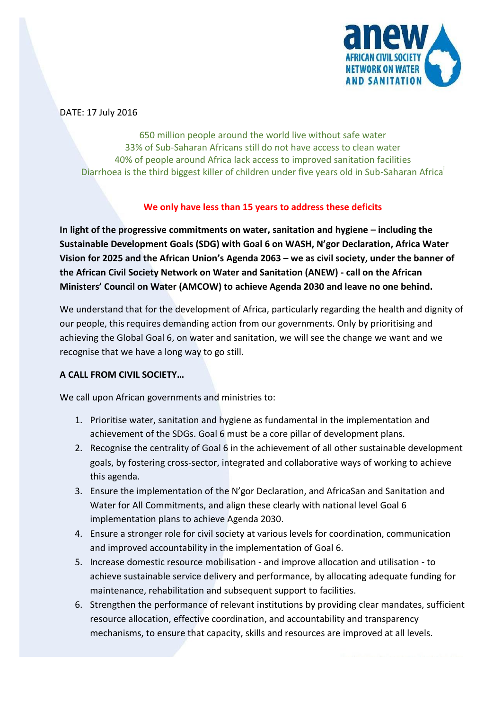

DATE: 17 July 2016

650 million people around the world live without safe water 33% of Sub-Saharan Africans still do not have access to clean water 40% of people around Africa lack access to improved sanitation facilities Diarrhoea is the third biggest killer of children under five years old in Sub-Saharan Africa

## **We only have less than 15 years to address these deficits**

**In light of the progressive commitments on water, sanitation and hygiene – including the Sustainable Development Goals (SDG) with Goal 6 on WASH, N'gor Declaration, Africa Water Vision for 2025 and the African Union's Agenda 2063 – we as civil society, under the banner of the African Civil Society Network on Water and Sanitation (ANEW) - call on the African Ministers' Council on Water (AMCOW) to achieve Agenda 2030 and leave no one behind.**

We understand that for the development of Africa, particularly regarding the health and dignity of our people, this requires demanding action from our governments. Only by prioritising and achieving the Global Goal 6, on water and sanitation, we will see the change we want and we recognise that we have a long way to go still.

## **A CALL FROM CIVIL SOCIETY…**

We call upon African governments and ministries to:

- 1. Prioritise water, sanitation and hygiene as fundamental in the implementation and achievement of the SDGs. Goal 6 must be a core pillar of development plans.
- 2. Recognise the centrality of Goal 6 in the achievement of all other sustainable development goals, by fostering cross-sector, integrated and collaborative ways of working to achieve this agenda.
- 3. Ensure the implementation of the N'gor Declaration, and AfricaSan and Sanitation and Water for All Commitments, and align these clearly with national level Goal 6 implementation plans to achieve Agenda 2030.
- 4. Ensure a stronger role for civil society at various levels for coordination, communication and improved accountability in the implementation of Goal 6.
- 5. Increase domestic resource mobilisation and improve allocation and utilisation to achieve sustainable service delivery and performance, by allocating adequate funding for maintenance, rehabilitation and subsequent support to facilities.
- 6. Strengthen the performance of relevant institutions by providing clear mandates, sufficient resource allocation, effective coordination, and accountability and transparency mechanisms, to ensure that capacity, skills and resources are improved at all levels.